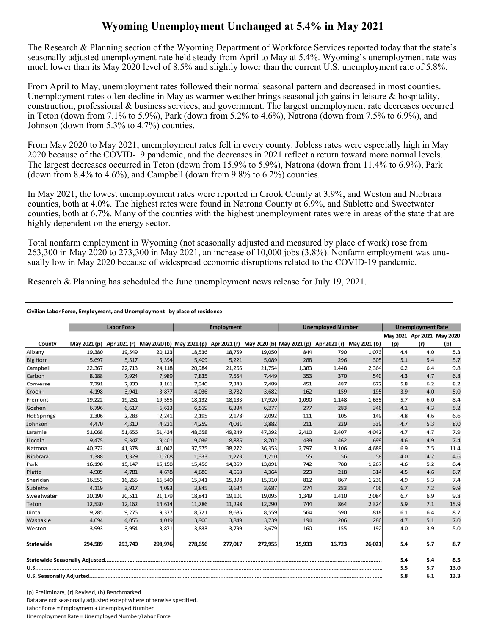## **Wyoming Unemployment Unchanged at 5.4% in May 2021**

The Research & Planning section of the Wyoming Department of Workforce Services reported today that the state's seasonally adjusted unemployment rate held steady from April to May at 5.4%. Wyoming's unemployment rate was much lower than its May 2020 level of 8.5% and slightly lower than the current U.S. unemployment rate of 5.8%.

From April to May, unemployment rates followed their normal seasonal pattern and decreased in most counties. Unemployment rates often decline in May as warmer weather brings seasonal job gains in leisure & hospitality, construction, professional & business services, and government. The largest unemployment rate decreases occurred in Teton (down from 7.1% to 5.9%), Park (down from 5.2% to 4.6%), Natrona (down from 7.5% to 6.9%), and Johnson (down from 5.3% to 4.7%) counties.

From May 2020 to May 2021, unemployment rates fell in every county. Jobless rates were especially high in May 2020 because of the COVID-19 pandemic, and the decreases in 2021 reflect a return toward more normal levels. The largest decreases occurred in Teton (down from 15.9% to 5.9%), Natrona (down from 11.4% to 6.9%), Park (down from 8.4% to 4.6%), and Campbell (down from 9.8% to  $6.2\%$ ) counties.

In May 2021, the lowest unemployment rates were reported in Crook County at 3.9%, and Weston and Niobrara counties, both at 4.0%. The highest rates were found in Natrona County at 6.9%, and Sublette and Sweetwater counties, both at 6.7%. Many of the counties with the highest unemployment rates were in areas of the state that are highly dependent on the energy sector.

Total nonfarm employment in Wyoming (not seasonally adjusted and measured by place of work) rose from 263,300 in May 2020 to 273,300 in May 2021, an increase of 10,000 jobs (3.8%). Nonfarm employment was unusually low in May 2020 because of widespread economic disruptions related to the COVID-19 pandemic.

Research & Planning has scheduled the June unemployment news release for July 19, 2021.

## Civilian Labor Force, Employment, and Unemployment--by place of residence

|                    | <b>Labor Force</b> |         |         | <b>Employment</b>                                                                                                    |         |         | <b>Unemployed Number</b> |        |        | <b>Unemployment Rate</b> |                            |      |
|--------------------|--------------------|---------|---------|----------------------------------------------------------------------------------------------------------------------|---------|---------|--------------------------|--------|--------|--------------------------|----------------------------|------|
|                    |                    |         |         |                                                                                                                      |         |         |                          |        |        |                          | May 2021 Apr 2021 May 2020 |      |
| County             |                    |         |         | May 2021 (p) Apr 2021 (r) May 2020 (b) May 2021 (p) Apr 2021 (r) May 2020 (b) May 2021 (p) Apr 2021 (r) May 2020 (b) |         |         |                          |        |        | (p)                      | (r)                        | (b)  |
| Albany             | 19,380             | 19,549  | 20,123  | 18,536                                                                                                               | 18,759  | 19,050  | 844                      | 790    | 1,073  | 4.4                      | 4.0                        | 5.3  |
| <b>Big Horn</b>    | 5,697              | 5,517   | 5,394   | 5,409                                                                                                                | 5,221   | 5,089   | 288                      | 296    | 305    | 5.1                      | 5.4                        | 5.7  |
| Campbell           | 22,367             | 22,713  | 24,118  | 20,984                                                                                                               | 21,265  | 21,754  | 1,383                    | 1,448  | 2,364  | 6.2                      | 6.4                        | 9.8  |
| Carbon             | 8,188              | 7,924   | 7,989   | 7,835                                                                                                                | 7,554   | 7,449   | 353                      | 370    | 540    | 4.3                      | 4.7                        | 6.8  |
| Converse           | 7,791              | 7,830   | 8,161   | 7,340                                                                                                                | 7,343   | 7,489   | 451                      | 487    | 672    | 5.8                      | 6.2                        | 8.2  |
| Crook              | 4,198              | 3,941   | 3,877   | 4,036                                                                                                                | 3,782   | 3,682   | 162                      | 159    | 195    | 3.9                      | 4.0                        | 5.0  |
| Fremont            | 19,222             | 19,281  | 19,555  | 18,132                                                                                                               | 18,133  | 17,920  | 1,090                    | 1,148  | 1.635  | 5.7                      | 6.0                        | 8.4  |
| Goshen             | 6,796              | 6,617   | 6,623   | 6,519                                                                                                                | 6,334   | 6,277   | 277                      | 283    | 346    | 4.1                      | 4.3                        | 5.2  |
| <b>Hot Springs</b> | 2,306              | 2,283   | 2,241   | 2,195                                                                                                                | 2,178   | 2,092   | 111                      | 105    | 149    | 4.8                      | 4.6                        | 6.6  |
| Johnson            | 4,470              | 4,310   | 4,221   | 4,259                                                                                                                | 4,081   | 3,882   | 211                      | 229    | 339    | 4.7                      | 5.3                        | 8.0  |
| Laramie            | 51,068             | 51,656  | 51,434  | 48,658                                                                                                               | 49,249  | 47,392  | 2,410                    | 2,407  | 4,042  | 4.7                      | 4.7                        | 7.9  |
| Lincoln            | 9,475              | 9,347   | 9,401   | 9,036                                                                                                                | 8,885   | 8,702   | 439                      | 462    | 699    | 4.6                      | 4.9                        | 7.4  |
| Natrona            | 40,372             | 41,378  | 41,042  | 37,575                                                                                                               | 38,272  | 36,353  | 2,797                    | 3,106  | 4,689  | 6.9                      | 7.5                        | 11.4 |
| Niobrara           | 1,388              | 1,329   | 1,268   | 1,333                                                                                                                | 1,273   | 1,210   | 55                       | 56     | 58     | 4.0                      | 4.2                        | 4.6  |
| Park               | 16,198             | 15,147  | 15,158  | 15,456                                                                                                               | 14,359  | 13,891  | 742                      | 788    | 1,267  | 4.6                      | 5.2                        | 8.4  |
| Platte             | 4,909              | 4,781   | 4,678   | 4,686                                                                                                                | 4,563   | 4,364   | 223                      | 218    | 314    | 4.5                      | 4.6                        | 6.7  |
| Sheridan           | 16,553             | 16,265  | 16,540  | 15,741                                                                                                               | 15,398  | 15,310  | 812                      | 867    | 1,230  | 4.9                      | 5.3                        | 7.4  |
| Sublette           | 4,119              | 3,917   | 4,093   | 3,845                                                                                                                | 3,634   | 3,687   | 274                      | 283    | 406    | 6.7                      | 7.2                        | 9.9  |
| Sweetwater         | 20,190             | 20,511  | 21,179  | 18,841                                                                                                               | 19,101  | 19,095  | 1,349                    | 1,410  | 2,084  | 6.7                      | 6.9                        | 9.8  |
| Teton              | 12.530             | 12.162  | 14.614  | 11.786                                                                                                               | 11.298  | 12,290  | 744                      | 864    | 2,324  | 5.9                      | 7.1                        | 15.9 |
| Uinta              | 9,285              | 9,275   | 9,377   | 8,721                                                                                                                | 8,685   | 8,559   | 564                      | 590    | 818    | 6.1                      | 6.4                        | 8.7  |
| Washakie           | 4,094              | 4,055   | 4,019   | 3,900                                                                                                                | 3,849   | 3,739   | 194                      | 206    | 280    | 4.7                      | 5.1                        | 7.0  |
| Weston             | 3,993              | 3,954   | 3,871   | 3,833                                                                                                                | 3,799   | 3,679   | 160                      | 155    | 192    | 4.0                      | 3.9                        | 5.0  |
| <b>Statewide</b>   | 294.589            | 293.740 | 298,976 | 278.656                                                                                                              | 277.017 | 272,955 | 15.933                   | 16.723 | 26,021 | 5.4                      | 5.7                        | 8.7  |
|                    |                    |         |         |                                                                                                                      |         |         |                          | 5.4    | 5.4    | 8.5                      |                            |      |
|                    |                    |         |         |                                                                                                                      |         |         |                          | 5.5    | 5.7    | 13.0                     |                            |      |
|                    |                    |         |         |                                                                                                                      |         |         |                          | 5.8    | 6.1    | 13.3                     |                            |      |

(p) Preliminary, (r) Revised, (b) Benchmarked. Data are not seasonally adjusted except where otherwise specified. Labor Force = Employment + Unemployed Number Unemployment Rate = Unemployed Number/Labor Force